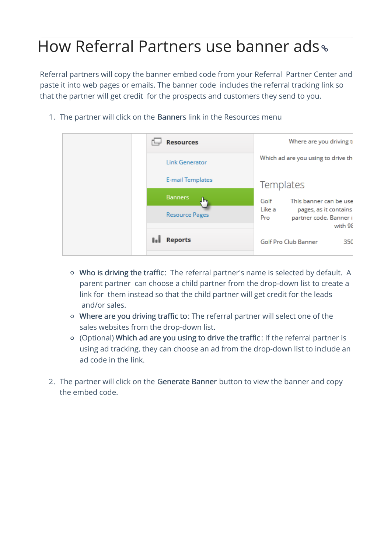## How Referral Partners use banner ads

Referral partners will copy the banner embed code from your Referral Partner Center and paste it into web pages or emails. The banner code includes the referral tracking link so that the partner will get credit for the prospects and customers they send to you.

1. The partner will click on the Banners link in the Resources menu

| <b>Resources</b>        | Where are you driving t                                                     |
|-------------------------|-----------------------------------------------------------------------------|
| <b>Link Generator</b>   | Which ad are you using to drive th                                          |
| <b>E-mail Templates</b> | Templates                                                                   |
| <b>Banners</b><br>"⊪    | This banner can be use<br>Golf                                              |
| <b>Resource Pages</b>   | Like a<br>pages, as it contains<br>partner code. Banner i<br>Pro<br>with 98 |
| <b>Reports</b>          | Golf Pro Club Banner<br>35C                                                 |
|                         |                                                                             |

- Who is driving the traffic: The referral partner's name is selected by default. A parent partner can choose a child partner from the drop-down list to create a link for them instead so that the child partner will get credit for the leads and/or sales.
- Where are you driving traffic to: The referral partner will select one of the sales websites from the drop-down list.
- (Optional) Which ad are you using to drive the traffic : If the referral partner is using ad tracking, they can choose an ad from the drop-down list to include an ad code in the link.
- 2. The partner will click on the Generate Banner button to view the banner and copy the embed code.